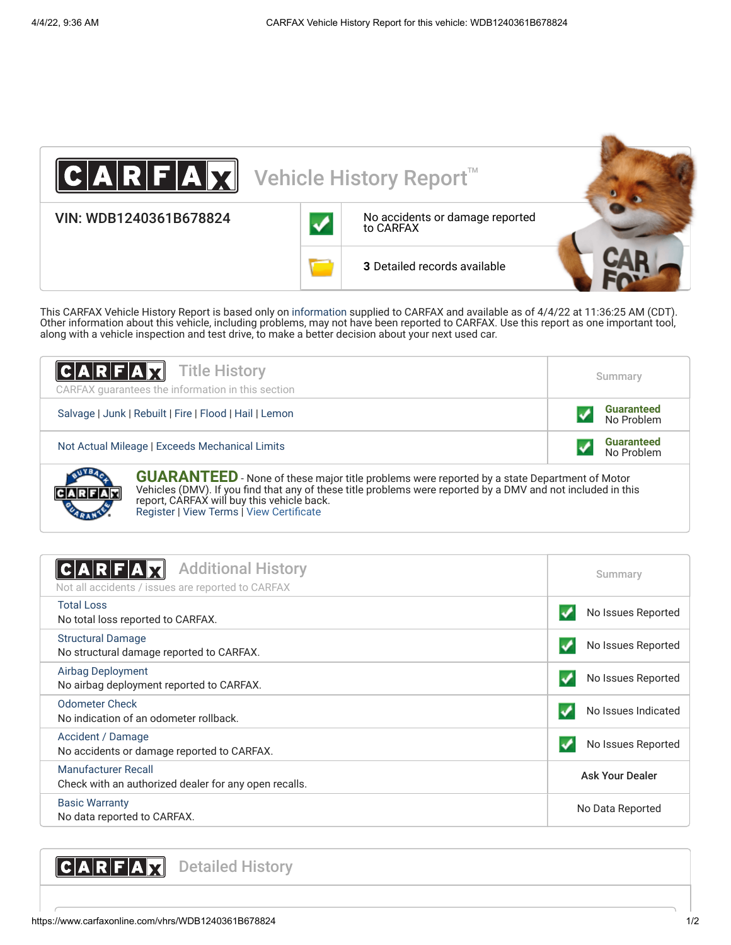

This CARFAX Vehicle History Report is based only on [information](http://www.carfax.com/company/vhr-data-sources) supplied to CARFAX and available as of 4/4/22 at 11:36:25 AM (CDT). Other information about this vehicle, including problems, may not have been reported to CARFAX. Use this report as one important tool, along with a vehicle inspection and test drive, to make a better decision about your next used car.

| $ C A R F A \overline{X}$ Title History<br>CARFAX guarantees the information in this section                                                                                                                       | Summary                         |  |
|--------------------------------------------------------------------------------------------------------------------------------------------------------------------------------------------------------------------|---------------------------------|--|
| Salvage   Junk   Rebuilt   Fire   Flood   Hail   Lemon                                                                                                                                                             | <b>Guaranteed</b><br>No Problem |  |
| Not Actual Mileage   Exceeds Mechanical Limits                                                                                                                                                                     | <b>Guaranteed</b><br>No Problem |  |
| <b>GUARANTEED</b> - None of these major title problems were reported by a state Department of Motor<br>Vehicles (DMV) If you find that any of those title problems were reported by a DMV and not included in this |                                 |  |

Vehicles (DMV). If you find that any of these title problems were reported by a DMV and not included in this report, CARFAX will buy this vehicle back. [Register](https://www.carfax.com/Service/bbg) | [View Terms](http://www.carfaxonline.com/legal/bbgTerms) | [View Certificate](https://www.carfaxonline.com/vhrs/WDB1240361B678824)

<span id="page-0-0"></span>

| <b>Additional History</b><br><b>CIA RIFIA</b><br>Not all accidents / issues are reported to CARFAX | Summary                |
|----------------------------------------------------------------------------------------------------|------------------------|
| <b>Total Loss</b><br>No total loss reported to CARFAX.                                             | No Issues Reported     |
| <b>Structural Damage</b><br>No structural damage reported to CARFAX.                               | No Issues Reported     |
| Airbag Deployment<br>No airbag deployment reported to CARFAX.                                      | No Issues Reported     |
| <b>Odometer Check</b><br>No indication of an odometer rollback.                                    | No Issues Indicated    |
| Accident / Damage<br>No accidents or damage reported to CARFAX.                                    | No Issues Reported     |
| <b>Manufacturer Recall</b><br>Check with an authorized dealer for any open recalls.                | <b>Ask Your Dealer</b> |
| <b>Basic Warranty</b><br>No data reported to CARFAX.                                               | No Data Reported       |

<span id="page-0-1"></span>CARFAX Detailed History

JxI